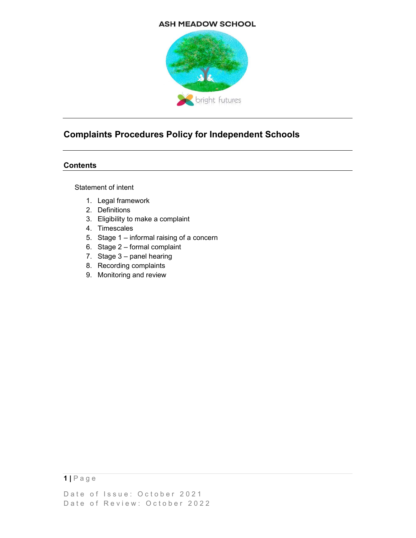## **ASH MEADOW SCHOOL**



# Complaints Procedures Policy for Independent Schools

## **Contents**

Statement of intent

- 1. Legal framework
- 2. Definitions
- 3. Eligibility to make a complaint
- 4. Timescales
- 5. Stage 1 informal raising of a concern
- 6. Stage 2 formal complaint
- 7. Stage 3 panel hearing
- 8. Recording complaints
- 9. Monitoring and review

 $1 | P$  a g e

Date of Issue: October 2021 Date of Review: October 2022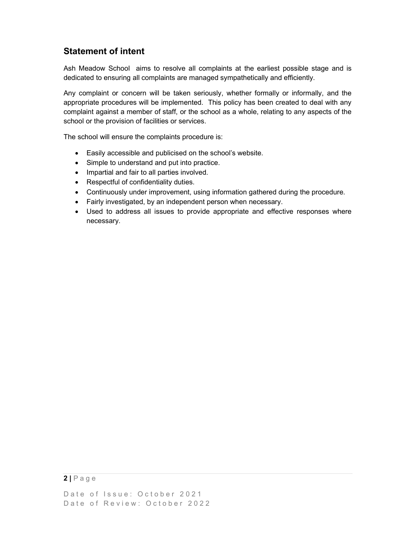# Statement of intent

Ash Meadow School aims to resolve all complaints at the earliest possible stage and is dedicated to ensuring all complaints are managed sympathetically and efficiently.

Any complaint or concern will be taken seriously, whether formally or informally, and the appropriate procedures will be implemented. This policy has been created to deal with any complaint against a member of staff, or the school as a whole, relating to any aspects of the school or the provision of facilities or services.

The school will ensure the complaints procedure is:

- Easily accessible and publicised on the school's website.
- Simple to understand and put into practice.
- Impartial and fair to all parties involved.
- Respectful of confidentiality duties.
- Continuously under improvement, using information gathered during the procedure.
- Fairly investigated, by an independent person when necessary.
- Used to address all issues to provide appropriate and effective responses where necessary.

# $2 | P \n a \n g \n e$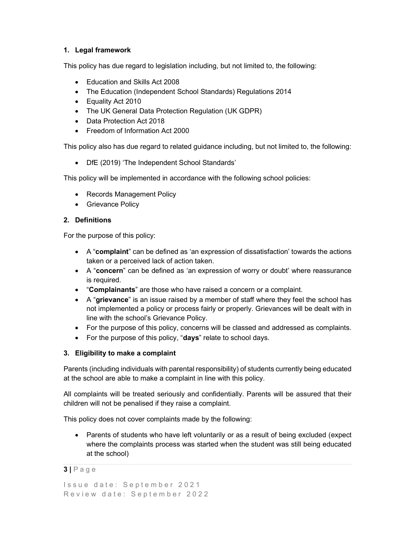## 1. Legal framework

This policy has due regard to legislation including, but not limited to, the following:

- Education and Skills Act 2008
- The Education (Independent School Standards) Regulations 2014
- Equality Act 2010
- The UK General Data Protection Regulation (UK GDPR)
- Data Protection Act 2018
- Freedom of Information Act 2000

This policy also has due regard to related guidance including, but not limited to, the following:

DfE (2019) 'The Independent School Standards'

This policy will be implemented in accordance with the following school policies:

- Records Management Policy
- Grievance Policy

#### 2. Definitions

For the purpose of this policy:

- A "complaint" can be defined as 'an expression of dissatisfaction' towards the actions taken or a perceived lack of action taken.
- A "concern" can be defined as 'an expression of worry or doubt' where reassurance is required.
- "Complainants" are those who have raised a concern or a complaint.
- $\bullet$  A "grievance" is an issue raised by a member of staff where they feel the school has not implemented a policy or process fairly or properly. Grievances will be dealt with in line with the school's Grievance Policy.
- For the purpose of this policy, concerns will be classed and addressed as complaints.
- For the purpose of this policy, "days" relate to school days.

# 3. Eligibility to make a complaint

Parents (including individuals with parental responsibility) of students currently being educated at the school are able to make a complaint in line with this policy.

All complaints will be treated seriously and confidentially. Parents will be assured that their children will not be penalised if they raise a complaint.

This policy does not cover complaints made by the following:

• Parents of students who have left voluntarily or as a result of being excluded (expect where the complaints process was started when the student was still being educated at the school)

#### $3 | P a q e$

Issue date: September 2021 Review date: September 2022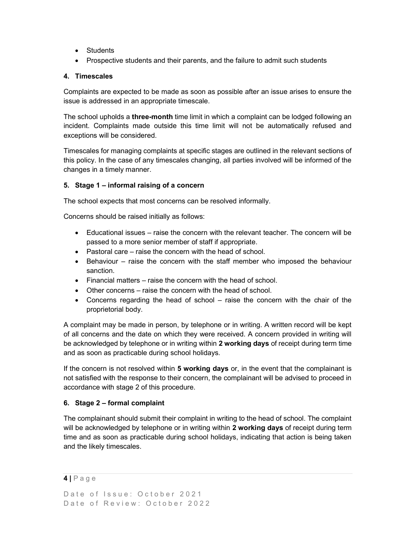- Students
- Prospective students and their parents, and the failure to admit such students

#### 4. Timescales

Complaints are expected to be made as soon as possible after an issue arises to ensure the issue is addressed in an appropriate timescale.

The school upholds a **three-month** time limit in which a complaint can be lodged following an incident. Complaints made outside this time limit will not be automatically refused and exceptions will be considered.

Timescales for managing complaints at specific stages are outlined in the relevant sections of this policy. In the case of any timescales changing, all parties involved will be informed of the changes in a timely manner.

## 5. Stage 1 – informal raising of a concern

The school expects that most concerns can be resolved informally.

Concerns should be raised initially as follows:

- Educational issues raise the concern with the relevant teacher. The concern will be passed to a more senior member of staff if appropriate.
- Pastoral care raise the concern with the head of school.
- Behaviour raise the concern with the staff member who imposed the behaviour sanction.
- Financial matters raise the concern with the head of school.
- Other concerns raise the concern with the head of school.
- Concerns regarding the head of school raise the concern with the chair of the proprietorial body.

A complaint may be made in person, by telephone or in writing. A written record will be kept of all concerns and the date on which they were received. A concern provided in writing will be acknowledged by telephone or in writing within 2 working days of receipt during term time and as soon as practicable during school holidays.

If the concern is not resolved within 5 working days or, in the event that the complainant is not satisfied with the response to their concern, the complainant will be advised to proceed in accordance with stage 2 of this procedure.

#### 6. Stage 2 – formal complaint

The complainant should submit their complaint in writing to the head of school. The complaint will be acknowledged by telephone or in writing within 2 working days of receipt during term time and as soon as practicable during school holidays, indicating that action is being taken and the likely timescales.

#### $4$  | P a g e

```
Date of Issue: October 2021
Date of Review: October 2022
```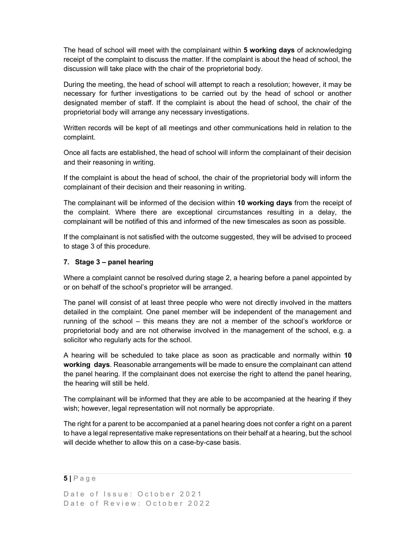The head of school will meet with the complainant within 5 working days of acknowledging receipt of the complaint to discuss the matter. If the complaint is about the head of school, the discussion will take place with the chair of the proprietorial body.

During the meeting, the head of school will attempt to reach a resolution; however, it may be necessary for further investigations to be carried out by the head of school or another designated member of staff. If the complaint is about the head of school, the chair of the proprietorial body will arrange any necessary investigations.

Written records will be kept of all meetings and other communications held in relation to the complaint.

Once all facts are established, the head of school will inform the complainant of their decision and their reasoning in writing.

If the complaint is about the head of school, the chair of the proprietorial body will inform the complainant of their decision and their reasoning in writing.

The complainant will be informed of the decision within 10 working days from the receipt of the complaint. Where there are exceptional circumstances resulting in a delay, the complainant will be notified of this and informed of the new timescales as soon as possible.

If the complainant is not satisfied with the outcome suggested, they will be advised to proceed to stage 3 of this procedure.

#### 7. Stage 3 – panel hearing

Where a complaint cannot be resolved during stage 2, a hearing before a panel appointed by or on behalf of the school's proprietor will be arranged.

The panel will consist of at least three people who were not directly involved in the matters detailed in the complaint. One panel member will be independent of the management and running of the school – this means they are not a member of the school's workforce or proprietorial body and are not otherwise involved in the management of the school, e.g. a solicitor who regularly acts for the school.

A hearing will be scheduled to take place as soon as practicable and normally within 10 working days. Reasonable arrangements will be made to ensure the complainant can attend the panel hearing. If the complainant does not exercise the right to attend the panel hearing, the hearing will still be held.

The complainant will be informed that they are able to be accompanied at the hearing if they wish; however, legal representation will not normally be appropriate.

The right for a parent to be accompanied at a panel hearing does not confer a right on a parent to have a legal representative make representations on their behalf at a hearing, but the school will decide whether to allow this on a case-by-case basis.

#### $5|$  P a g e

Date of Issue: October 2021 Date of Review: October 2022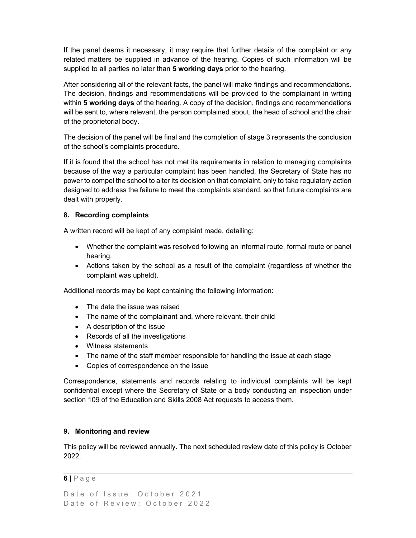If the panel deems it necessary, it may require that further details of the complaint or any related matters be supplied in advance of the hearing. Copies of such information will be supplied to all parties no later than 5 working days prior to the hearing.

After considering all of the relevant facts, the panel will make findings and recommendations. The decision, findings and recommendations will be provided to the complainant in writing within **5 working days** of the hearing. A copy of the decision, findings and recommendations will be sent to, where relevant, the person complained about, the head of school and the chair of the proprietorial body.

The decision of the panel will be final and the completion of stage 3 represents the conclusion of the school's complaints procedure.

If it is found that the school has not met its requirements in relation to managing complaints because of the way a particular complaint has been handled, the Secretary of State has no power to compel the school to alter its decision on that complaint, only to take regulatory action designed to address the failure to meet the complaints standard, so that future complaints are dealt with properly.

## 8. Recording complaints

A written record will be kept of any complaint made, detailing:

- Whether the complaint was resolved following an informal route, formal route or panel hearing.
- Actions taken by the school as a result of the complaint (regardless of whether the complaint was upheld).

Additional records may be kept containing the following information:

- The date the issue was raised
- The name of the complainant and, where relevant, their child
- A description of the issue
- Records of all the investigations
- Witness statements
- The name of the staff member responsible for handling the issue at each stage
- Copies of correspondence on the issue

Correspondence, statements and records relating to individual complaints will be kept confidential except where the Secretary of State or a body conducting an inspection under section 109 of the Education and Skills 2008 Act requests to access them.

#### 9. Monitoring and review

This policy will be reviewed annually. The next scheduled review date of this policy is October 2022.

#### 6 | P a g e

```
Date of Issue: October 2021
Date of Review: October 2022
```